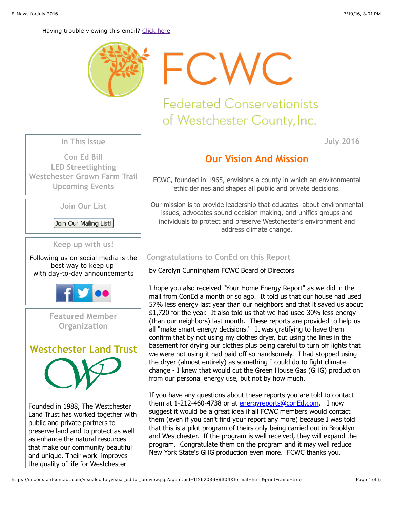

FCWC

# **Federated Conservationists** of Westchester County, Inc.

**In This Issue**

**[Con Ed Bill](https://ui.constantcontact.com/visualeditor/visual_editor_preview.jsp?agent.uid=1125203689304&format=html&printFrame=true#LETTER.BLOCK15) [LED Streetlighting](https://ui.constantcontact.com/visualeditor/visual_editor_preview.jsp?agent.uid=1125203689304&format=html&printFrame=true#LETTER.BLOCK16) [Westchester Grown Farm Trail](https://ui.constantcontact.com/visualeditor/visual_editor_preview.jsp?agent.uid=1125203689304&format=html&printFrame=true#LETTER.BLOCK17) [Upcoming Events](https://ui.constantcontact.com/visualeditor/visual_editor_preview.jsp?agent.uid=1125203689304&format=html&printFrame=true#LETTER.BLOCK19)**

**Join Our List**

Join Our Mailing List!

**Keep up with us!**

Following us on social media is the best way to keep up with day-to-day announcements



**Featured Member Organization**



Founded in 1988, The Westchester Land Trust has worked together with public and private partners to preserve land and to protect as well as enhance the natural resources that make our community beautiful and unique. Their work improves the quality of life for Westchester

# **Our Vision And Mission**

FCWC, founded in 1965, envisions a county in which an environmental ethic defines and shapes all public and private decisions.

Our mission is to provide leadership that educates about environmental issues, advocates sound decision making, and unifies groups and individuals to protect and preserve Westchester's environment and address climate change.

# **Congratulations to ConEd on this Report**

by Carolyn Cunningham FCWC Board of Directors

I hope you also received "Your Home Energy Report" as we did in the mail from ConEd a month or so ago. It told us that our house had used 57% less energy last year than our neighbors and that it saved us about \$1,720 for the year. It also told us that we had used 30% less energy (than our neighbors) last month. These reports are provided to help us all "make smart energy decisions." It was gratifying to have them confirm that by not using my clothes dryer, but using the lines in the basement for drying our clothes plus being careful to turn off lights that we were not using it had paid off so handsomely. I had stopped using the dryer (almost entirely) as something I could do to fight climate change - I knew that would cut the Green House Gas (GHG) production from our personal energy use, but not by how much.

If you have any questions about these reports you are told to contact them at 1-212-460-4738 or at [energyreports@conEd.com.](http://energyreports@coned.com/) I now suggest it would be a great idea if all FCWC members would contact them (even if you can't find your report any more) because I was told that this is a pilot program of theirs only being carried out in Brooklyn and Westchester. If the program is well received, they will expand the program. Congratulate them on the program and it may well reduce New York State's GHG production even more. FCWC thanks you.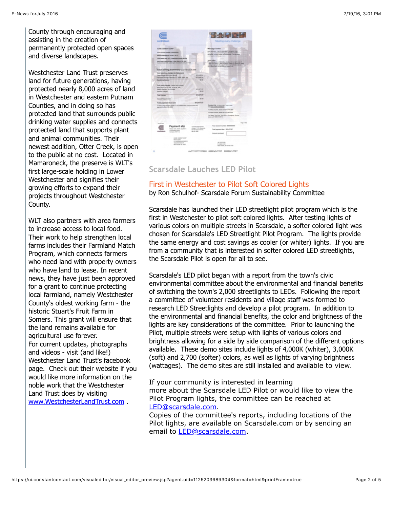Westchester Land Trust preserves land for future generations, having protected nearly 8,000 acres of land in Westchester and eastern Putnam Counties, and in doing so has protected land that surrounds public drinking water supplies and connects protected land that supports plant and animal communities. Their newest addition, Otter Creek, is open to the public at no cost. Located in Mamaroneck, the preserve is WLT's first large-scale holding in Lower Westchester and signifies their growing efforts to expand their projects throughout Westchester County.

WLT also partners with area farmers to increase access to local food. Their work to help strengthen local farms includes their Farmland Match Program, which connects farmers who need land with property owners who have land to lease. In recent news, they have just been approved for a grant to continue protecting local farmland, namely Westchester County's oldest working farm - the historic Stuart's Fruit Farm in Somers. This grant will ensure that the land remains available for agricultural use forever. For current updates, photographs and videos - visit (and like!) Westchester Land Trust's facebook page. Check out their website if you would like more information on the noble work that the Westchester Land Trust does by visiting [www.WestchesterLandTrust.com](http://westchesterlandtrust.org/) .



### **Scarsdale Lauches LED Pilot**

#### First in Westchester to Pilot Soft Colored Lights by Ron Schulhof- Scarsdale Forum Sustainability Committee

Scarsdale has launched their LED streetlight pilot program which is the first in Westchester to pilot soft colored lights. After testing lights of various colors on multiple streets in Scarsdale, a softer colored light was chosen for Scarsdale's LED Streetlight Pilot Program. The lights provide the same energy and cost savings as cooler (or whiter) lights. If you are from a community that is interested in softer colored LED streetlights, the Scarsdale Pilot is open for all to see.

Scarsdale's LED pilot began with a report from the town's civic environmental committee about the environmental and financial benefits of switching the town's 2,000 streetlights to LEDs. Following the report a committee of volunteer residents and village staff was formed to research LED Streetlights and develop a pilot program. In addition to the environmental and financial benefits, the color and brightness of the lights are key considerations of the committee. Prior to launching the Pilot, multiple streets were setup with lights of various colors and brightness allowing for a side by side comparison of the different options available. These demo sites include lights of 4,000K (whiter), 3,000K (soft) and 2,700 (softer) colors, as well as lights of varying brightness (wattages). The demo sites are still installed and available to view.

If your community is interested in learning more about the Scarsdale LED Pilot or would like to view the Pilot Program lights, the committee can be reached at [LED@scarsdale.com.](mailto:LED@scarsdale.com)

Copies of the committee's reports, including locations of the Pilot lights, are available on Scarsdale.com or by sending an email to [LED@scarsdale.com.](mailto:LED@scarsdale.com)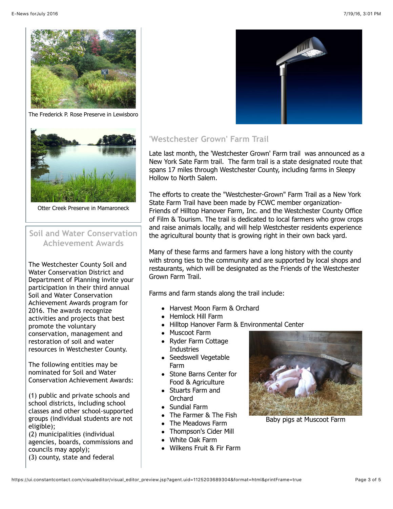

The Frederick P. Rose Preserve in Lewisboro



Otter Creek Preserve in Mamaroneck

## **Soil and Water Conservation Achievement Awards**

The Westchester County Soil and Water Conservation District and Department of Planning invite your participation in their third annual Soil and Water Conservation Achievement Awards program for 2016. The awards recognize activities and projects that best promote the voluntary conservation, management and restoration of soil and water resources in Westchester County.

The following entities may be nominated for Soil and Water Conservation Achievement Awards:

(1) public and private schools and school districts, including school classes and other school-supported groups (individual students are not eligible);

(2) municipalities (individual agencies, boards, commissions and councils may apply);

(3) county, state and federal



# **'Westchester Grown' Farm Trail**

Late last month, the 'Westchester Grown' Farm trail was announced as a New York Sate Farm trail. The farm trail is a state designated route that spans 17 miles through Westchester County, including farms in Sleepy Hollow to North Salem.

The efforts to create the "Westchester-Grown" Farm Trail as a New York State Farm Trail have been made by FCWC member organization-Friends of Hilltop Hanover Farm, Inc. and the Westchester County Office of Film & Tourism. The trail is dedicated to local farmers who grow crops and raise animals locally, and will help Westchester residents experience the agricultural bounty that is growing right in their own back yard.

Many of these farms and farmers have a long history with the county with strong ties to the community and are supported by local shops and restaurants, which will be designated as the Friends of the Westchester Grown Farm Trail.

Farms and farm stands along the trail include:

- Harvest Moon Farm & Orchard
- Hemlock Hill Farm
- Hilltop Hanover Farm & Environmental Center
- Muscoot Farm
- Ryder Farm Cottage **Industries**
- Seedswell Vegetable Farm
- Stone Barns Center for Food & Agriculture
- Stuarts Farm and **Orchard**
- Sundial Farm
- The Farmer & The Fish
- The Meadows Farm
- Thompson's Cider Mill
- White Oak Farm
- Wilkens Fruit & Fir Farm



Baby pigs at Muscoot Farm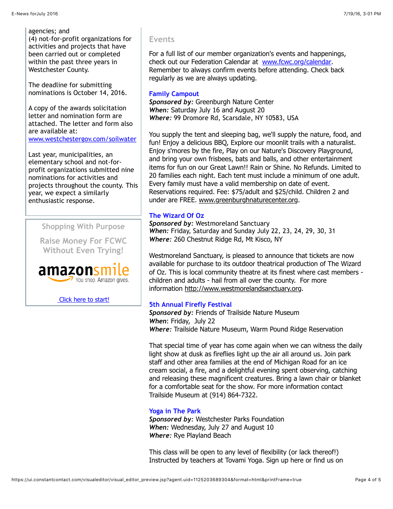#### agencies; and

(4) not-for-profit organizations for activities and projects that have been carried out or completed within the past three years in Westchester County.

The deadline for submitting nominations is October 14, 2016.

A copy of the awards solicitation letter and nomination form are attached. The letter and form also are available at: [www.westchestergov.com/soilwater](http://undefined/)

Last year, municipalities, an elementary school and not-forprofit organizations submitted nine nominations for activities and projects throughout the county. This year, we expect a similarly enthusiastic response.

**Shopping With Purpose**

**Raise Money For FCWC Without Even Trying!**



 [Click here to start!](http://smile.amazon.com/gp/charity/homepage.html?orig=%2Fgp%2Fbrowse.html%3Fnode%3D11448061011&ein=23-7318743)

#### **Events**

For a full list of our member organization's events and happenings, check out our Federation Calendar at [www.fcwc.org/calendar](http://www.fcwc.org/#!calendar/czy8). Remember to always confirm events before attending. Check back regularly as we are always updating.

#### **Family Campout**

*Sponsored by:* Greenburgh Nature Center *When:* Saturday July 16 and August 20 *Where:* 99 Dromore Rd, Scarsdale, NY 10583, USA

You supply the tent and sleeping bag, we'll supply the nature, food, and fun! Enjoy a delicious BBQ, Explore our moonlit trails with a naturalist. Enjoy s'mores by the fire, Play on our Nature's Discovery Playground, and bring your own frisbees, bats and balls, and other entertainment items for fun on our Great Lawn!! Rain or Shine. No Refunds. Limited to 20 families each night. Each tent must include a minimum of one adult. Every family must have a valid membership on date of event. Reservations required. Fee: \$75/adult and \$25/child. Children 2 and under are FREE. [www.greenburghnaturecenter.org](http://www.greenburghnaturecenter.org/).

#### **The Wizard Of Oz**

*Sponsored by:* Westmoreland Sanctuary *When:* Friday, Saturday and Sunday July 22, 23, 24, 29, 30, 31 *Where:* 260 Chestnut Ridge Rd, Mt Kisco, NY

Westmoreland Sanctuary, is pleased to announce that tickets are now available for purchase to its outdoor theatrical production of The Wizard of Oz. This is local community theatre at its finest where cast members children and adults - hail from all over the county. For more information [http://www.westmorelandsanctuary.org.](http://www.westmorelandsanctuary.org/)

#### **5th Annual Firefly Festival**

*Sponsored by:* Friends of Trailside Nature Museum *When*: Friday, July 22 *Where:* Trailside Nature Museum, Warm Pound Ridge Reservation

That special time of year has come again when we can witness the daily light show at dusk as fireflies light up the air all around us. Join park staff and other area families at the end of Michigan Road for an ice cream social, a fire, and a delightful evening spent observing, catching and releasing these magnificent creatures. Bring a lawn chair or blanket for a comfortable seat for the show. For more information contact Trailside Museum at (914) 864-7322.

#### **Yoga in The Park**

*Sponsored by:* Westchester Parks Foundation *When:* Wednesday, July 27 and August 10 *Where:* Rye Playland Beach

This class will be open to any level of flexibility (or lack thereof!) Instructed by teachers at Tovami Yoga. Sign up here or find us on